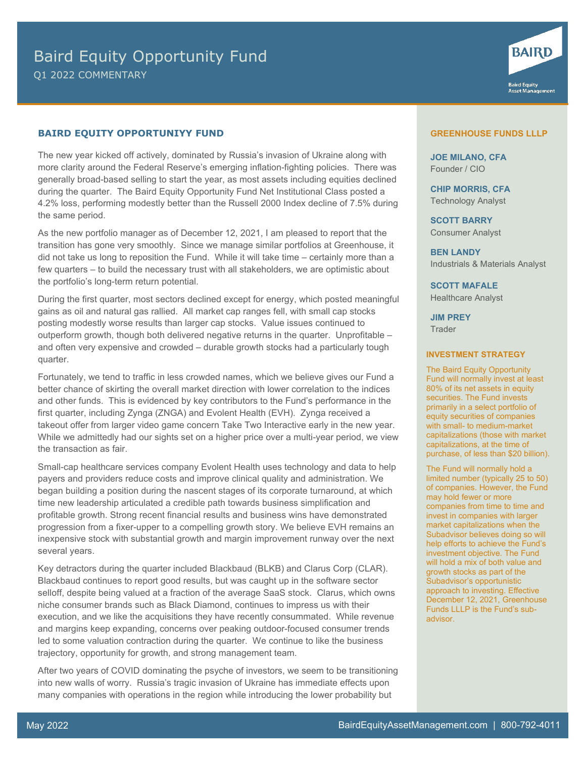## **BAIRD EQUITY OPPORTUNIYY FUND**

The new year kicked off actively, dominated by Russia's invasion of Ukraine along with more clarity around the Federal Reserve's emerging inflation-fighting policies. There was generally broad-based selling to start the year, as most assets including equities declined during the quarter. The Baird Equity Opportunity Fund Net Institutional Class posted a 4.2% loss, performing modestly better than the Russell 2000 Index decline of 7.5% during the same period.

As the new portfolio manager as of December 12, 2021, I am pleased to report that the transition has gone very smoothly. Since we manage similar portfolios at Greenhouse, it did not take us long to reposition the Fund. While it will take time – certainly more than a few quarters – to build the necessary trust with all stakeholders, we are optimistic about the portfolio's long-term return potential.

During the first quarter, most sectors declined except for energy, which posted meaningful gains as oil and natural gas rallied. All market cap ranges fell, with small cap stocks posting modestly worse results than larger cap stocks. Value issues continued to outperform growth, though both delivered negative returns in the quarter. Unprofitable – and often very expensive and crowded – durable growth stocks had a particularly tough quarter.

Fortunately, we tend to traffic in less crowded names, which we believe gives our Fund a better chance of skirting the overall market direction with lower correlation to the indices and other funds. This is evidenced by key contributors to the Fund's performance in the first quarter, including Zynga (ZNGA) and Evolent Health (EVH). Zynga received a takeout offer from larger video game concern Take Two Interactive early in the new year. While we admittedly had our sights set on a higher price over a multi-year period, we view the transaction as fair.

Small-cap healthcare services company Evolent Health uses technology and data to help payers and providers reduce costs and improve clinical quality and administration. We began building a position during the nascent stages of its corporate turnaround, at which time new leadership articulated a credible path towards business simplification and profitable growth. Strong recent financial results and business wins have demonstrated progression from a fixer-upper to a compelling growth story. We believe EVH remains an inexpensive stock with substantial growth and margin improvement runway over the next several years.

Key detractors during the quarter included Blackbaud (BLKB) and Clarus Corp (CLAR). Blackbaud continues to report good results, but was caught up in the software sector selloff, despite being valued at a fraction of the average SaaS stock. Clarus, which owns niche consumer brands such as Black Diamond, continues to impress us with their execution, and we like the acquisitions they have recently consummated. While revenue and margins keep expanding, concerns over peaking outdoor-focused consumer trends led to some valuation contraction during the quarter. We continue to like the business trajectory, opportunity for growth, and strong management team.

After two years of COVID dominating the psyche of investors, we seem to be transitioning into new walls of worry. Russia's tragic invasion of Ukraine has immediate effects upon many companies with operations in the region while introducing the lower probability but

## **GREENHOUSE FUNDS LLLP**

**BAIRD** 

**Baird Equity<br>Asset Management** 

**JOE MILANO, CFA** Founder / CIO

**CHIP MORRIS, CFA** Technology Analyst

**SCOTT BARRY** Consumer Analyst

**BEN LANDY** Industrials & Materials Analyst

**SCOTT MAFALE** Healthcare Analyst

**JIM PREY Trader** 

## **INVESTMENT STRATEGY**

The Baird Equity Opportunity Fund will normally invest at least 80% of its net assets in equity securities. The Fund invests primarily in a select portfolio of equity securities of companies with small- to medium-market capitalizations (those with market capitalizations, at the time of purchase, of less than \$20 billion).

The Fund will normally hold a limited number (typically 25 to 50) of companies. However, the Fund may hold fewer or more companies from time to time and invest in companies with larger market capitalizations when the Subadvisor believes doing so will help efforts to achieve the Fund's investment objective. The Fund will hold a mix of both value and growth stocks as part of the Subadvisor's opportunistic approach to investing. Effective December 12, 2021, Greenhouse Funds LLLP is the Fund's subadvisor.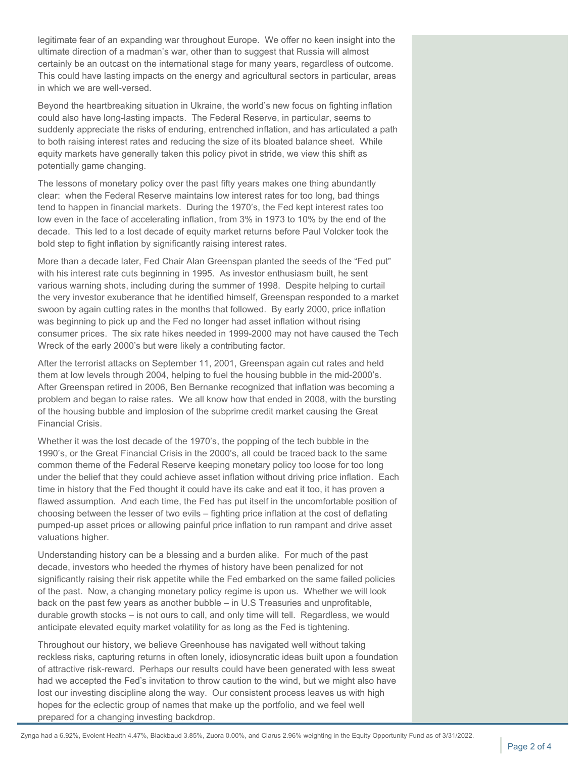legitimate fear of an expanding war throughout Europe. We offer no keen insight into the ultimate direction of a madman's war, other than to suggest that Russia will almost certainly be an outcast on the international stage for many years, regardless of outcome. This could have lasting impacts on the energy and agricultural sectors in particular, areas in which we are well-versed.

Beyond the heartbreaking situation in Ukraine, the world's new focus on fighting inflation could also have long-lasting impacts. The Federal Reserve, in particular, seems to suddenly appreciate the risks of enduring, entrenched inflation, and has articulated a path to both raising interest rates and reducing the size of its bloated balance sheet. While equity markets have generally taken this policy pivot in stride, we view this shift as potentially game changing.

The lessons of monetary policy over the past fifty years makes one thing abundantly clear: when the Federal Reserve maintains low interest rates for too long, bad things tend to happen in financial markets. During the 1970's, the Fed kept interest rates too low even in the face of accelerating inflation, from 3% in 1973 to 10% by the end of the decade. This led to a lost decade of equity market returns before Paul Volcker took the bold step to fight inflation by significantly raising interest rates.

More than a decade later, Fed Chair Alan Greenspan planted the seeds of the "Fed put" with his interest rate cuts beginning in 1995. As investor enthusiasm built, he sent various warning shots, including during the summer of 1998. Despite helping to curtail the very investor exuberance that he identified himself, Greenspan responded to a market swoon by again cutting rates in the months that followed. By early 2000, price inflation was beginning to pick up and the Fed no longer had asset inflation without rising consumer prices. The six rate hikes needed in 1999-2000 may not have caused the Tech Wreck of the early 2000's but were likely a contributing factor.

After the terrorist attacks on September 11, 2001, Greenspan again cut rates and held them at low levels through 2004, helping to fuel the housing bubble in the mid-2000's. After Greenspan retired in 2006, Ben Bernanke recognized that inflation was becoming a problem and began to raise rates. We all know how that ended in 2008, with the bursting of the housing bubble and implosion of the subprime credit market causing the Great Financial Crisis.

Whether it was the lost decade of the 1970's, the popping of the tech bubble in the 1990's, or the Great Financial Crisis in the 2000's, all could be traced back to the same common theme of the Federal Reserve keeping monetary policy too loose for too long under the belief that they could achieve asset inflation without driving price inflation. Each time in history that the Fed thought it could have its cake and eat it too, it has proven a flawed assumption. And each time, the Fed has put itself in the uncomfortable position of choosing between the lesser of two evils – fighting price inflation at the cost of deflating pumped-up asset prices or allowing painful price inflation to run rampant and drive asset valuations higher.

Understanding history can be a blessing and a burden alike. For much of the past decade, investors who heeded the rhymes of history have been penalized for not significantly raising their risk appetite while the Fed embarked on the same failed policies of the past. Now, a changing monetary policy regime is upon us. Whether we will look back on the past few years as another bubble – in U.S Treasuries and unprofitable, durable growth stocks – is not ours to call, and only time will tell. Regardless, we would anticipate elevated equity market volatility for as long as the Fed is tightening.

Throughout our history, we believe Greenhouse has navigated well without taking reckless risks, capturing returns in often lonely, idiosyncratic ideas built upon a foundation of attractive risk-reward. Perhaps our results could have been generated with less sweat had we accepted the Fed's invitation to throw caution to the wind, but we might also have lost our investing discipline along the way. Our consistent process leaves us with high hopes for the eclectic group of names that make up the portfolio, and we feel well prepared for a changing investing backdrop.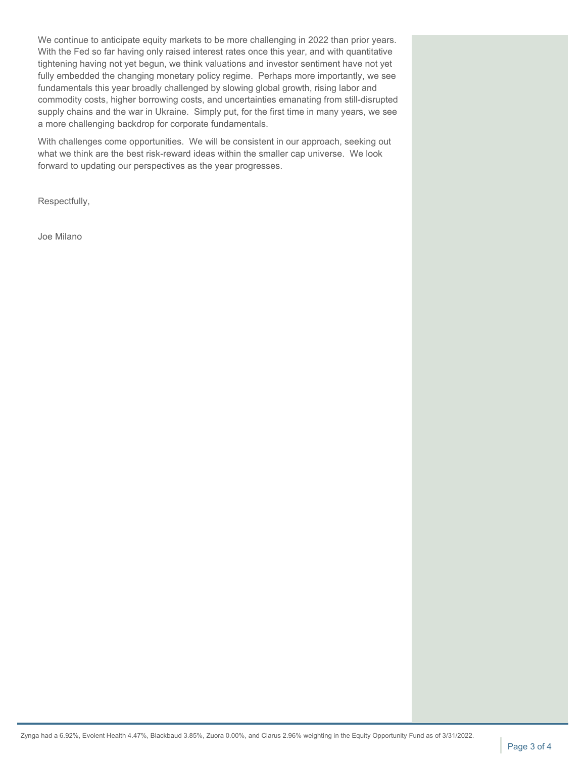We continue to anticipate equity markets to be more challenging in 2022 than prior years. With the Fed so far having only raised interest rates once this year, and with quantitative tightening having not yet begun, we think valuations and investor sentiment have not yet fully embedded the changing monetary policy regime. Perhaps more importantly, we see fundamentals this year broadly challenged by slowing global growth, rising labor and commodity costs, higher borrowing costs, and uncertainties emanating from still-disrupted supply chains and the war in Ukraine. Simply put, for the first time in many years, we see a more challenging backdrop for corporate fundamentals.

With challenges come opportunities. We will be consistent in our approach, seeking out what we think are the best risk-reward ideas within the smaller cap universe. We look forward to updating our perspectives as the year progresses.

Respectfully,

Joe Milano